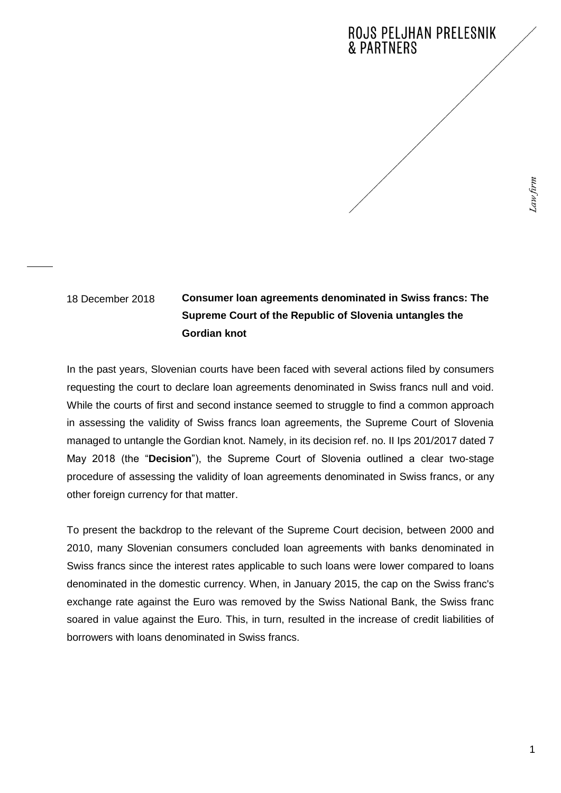## 18 December 2018

## **Consumer loan agreements denominated in Swiss francs: The Supreme Court of the Republic of Slovenia untangles the Gordian knot**

In the past years, Slovenian courts have been faced with several actions filed by consumers requesting the court to declare loan agreements denominated in Swiss francs null and void. While the courts of first and second instance seemed to struggle to find a common approach in assessing the validity of Swiss francs loan agreements, the Supreme Court of Slovenia managed to untangle the Gordian knot. Namely, in its decision ref. no. II Ips 201/2017 dated 7 May 2018 (the "**Decision**"), the Supreme Court of Slovenia outlined a clear two-stage procedure of assessing the validity of loan agreements denominated in Swiss francs, or any other foreign currency for that matter.

To present the backdrop to the relevant of the Supreme Court decision, between 2000 and 2010, many Slovenian consumers concluded loan agreements with banks denominated in Swiss francs since the interest rates applicable to such loans were lower compared to loans denominated in the domestic currency. When, in January 2015, the cap on the Swiss franc's exchange rate against the Euro was removed by the Swiss National Bank, the Swiss franc soared in value against the Euro. This, in turn, resulted in the increase of credit liabilities of borrowers with loans denominated in Swiss francs.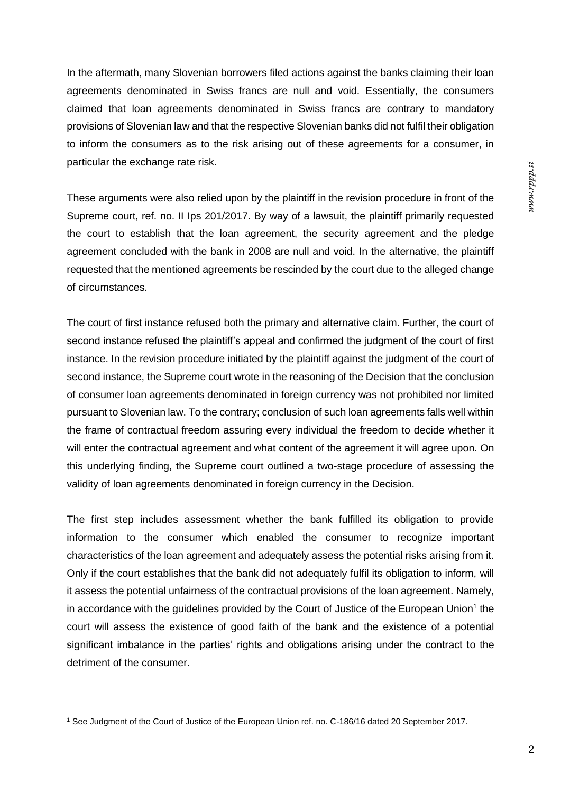In the aftermath, many Slovenian borrowers filed actions against the banks claiming their loan agreements denominated in Swiss francs are null and void. Essentially, the consumers claimed that loan agreements denominated in Swiss francs are contrary to mandatory provisions of Slovenian law and that the respective Slovenian banks did not fulfil their obligation to inform the consumers as to the risk arising out of these agreements for a consumer, in particular the exchange rate risk.

These arguments were also relied upon by the plaintiff in the revision procedure in front of the Supreme court, ref. no. II Ips 201/2017. By way of a lawsuit, the plaintiff primarily requested the court to establish that the loan agreement, the security agreement and the pledge agreement concluded with the bank in 2008 are null and void. In the alternative, the plaintiff requested that the mentioned agreements be rescinded by the court due to the alleged change of circumstances.

The court of first instance refused both the primary and alternative claim. Further, the court of second instance refused the plaintiff's appeal and confirmed the judgment of the court of first instance. In the revision procedure initiated by the plaintiff against the judgment of the court of second instance, the Supreme court wrote in the reasoning of the Decision that the conclusion of consumer loan agreements denominated in foreign currency was not prohibited nor limited pursuant to Slovenian law. To the contrary; conclusion of such loan agreements falls well within the frame of contractual freedom assuring every individual the freedom to decide whether it will enter the contractual agreement and what content of the agreement it will agree upon. On this underlying finding, the Supreme court outlined a two-stage procedure of assessing the validity of loan agreements denominated in foreign currency in the Decision.

The first step includes assessment whether the bank fulfilled its obligation to provide information to the consumer which enabled the consumer to recognize important characteristics of the loan agreement and adequately assess the potential risks arising from it. Only if the court establishes that the bank did not adequately fulfil its obligation to inform, will it assess the potential unfairness of the contractual provisions of the loan agreement. Namely, in accordance with the guidelines provided by the Court of Justice of the European Union<sup>1</sup> the court will assess the existence of good faith of the bank and the existence of a potential significant imbalance in the parties' rights and obligations arising under the contract to the detriment of the consumer.

 $\overline{a}$ 

<sup>1</sup> See Judgment of the Court of Justice of the European Union ref. no. C-186/16 dated 20 September 2017.